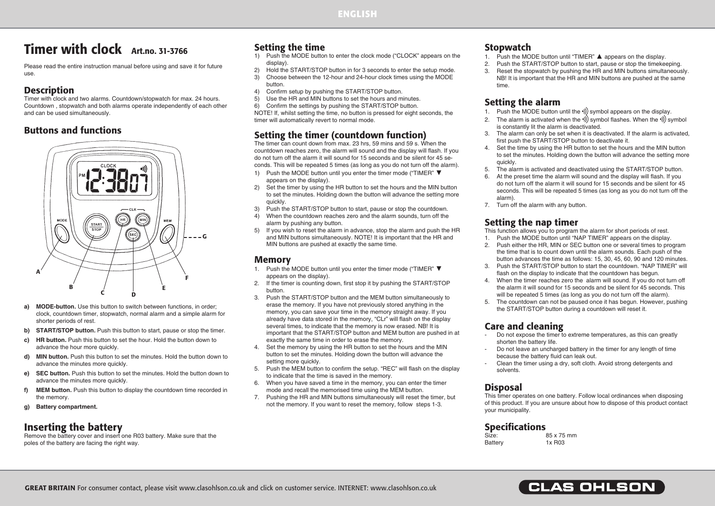# Timer with clock Art.no. 31-3766

Please read the entire instruction manual before using and save it for future use.

### **Description**

Timer with clock and two alarms. Countdown/stopwatch for max. 24 hours. Countdown , stopwatch and both alarms operate independently of each other and can be used simultaneously.

#### Buttons and functions



- **a) MODE-button.** Use this button to switch between functions, in order: clock, countdown timer, stopwatch, normal alarm and a simple alarm for shorter periods of rest.
- **b) START/STOP button.** Push this button to start, pause or stop the timer.
- **c) HR button.** Push this button to set the hour. Hold the button down to advance the hour more quickly.
- **d)** MIN button. Push this button to set the minutes. Hold the button down to advance the minutes more quickly.
- **e) SEC button.** Push this button to set the minutes. Hold the button down to advance the minutes more quickly.
- **f)** MEM button. Push this button to display the countdown time recorded in the memory.
- **g) Battery compartment.**

# Inserting the battery

Remove the battery cover and insert one R03 battery. Make sure that the poles of the battery are facing the right way.

### Setting the time

- 1) Push the MODE button to enter the clock mode ("CLOCK" appears on the display).
- 2) Hold the START/STOP button in for 3 seconds to enter the setup mode.
- 3) Choose between the 12-hour and 24-hour clock times using the MODE button.
- 4) Confirm setup by pushing the START/STOP button.<br>5) Use the HR and MIN buttons to set the hours and m
- Use the HR and MIN buttons to set the hours and minutes.
- 6) Confirm the settings by pushing the START/STOP button.

NOTE! If, whilst setting the time, no button is pressed for eight seconds, the timer will automatically revert to normal mode.

#### Setting the timer (countdown function)

The timer can count down from max. 23 hrs, 59 mins and 59 s. When the countdown reaches zero, the alarm will sound and the display will flash. If you do not turn off the alarm it will sound for 15 seconds and be silent for 45 seconds. This will be repeated 5 times (as long as you do not turn off the alarm).

- 1) Push the MODE button until you enter the timer mode ("TIMER" ▼ appears on the display).
- 2) Set the timer by using the HR button to set the hours and the MIN button to set the minutes. Holding down the button will advance the setting more quickly.
- 3) Push the START/STOP button to start, pause or stop the countdown.
- 4) When the countdown reaches zero and the alarm sounds, turn off the alarm by pushing any button.
- 5) If you wish to reset the alarm in advance, stop the alarm and push the HR and MIN buttons simultaneously. NOTE! It is important that the HR and MIN buttons are pushed at exactly the same time.

#### Memory

- 1. Push the MODE button until you enter the timer mode ("TIMER" ▼ appears on the display).
- 2. If the timer is counting down, first stop it by pushing the START/STOP button.
- 3. Push the START/STOP button and the MEM button simultaneously to erase the memory. If you have not previously stored anything in the memory, you can save your time in the memory straight away. If you already have data stored in the memory, "CLr" will flash on the display several times, to indicate that the memory is now erased. NB! It is important that the START/STOP button and MEM button are pushed in at exactly the same time in order to erase the memory.
- 4. Set the memory by using the HR button to set the hours and the MIN button to set the minutes. Holding down the button will advance the setting more quickly.
- 5. Push the MEM button to confirm the setup. "REC" will flash on the display to indicate that the time is saved in the memory.
- 6. When you have saved a time in the memory, you can enter the timer mode and recall the memorised time using the MEM button.
- 7. Pushing the HR and MIN buttons simultaneously will reset the timer, but not the memory. If you want to reset the memory, follow steps 1-3.

### **Stopwatch**

- 1. Push the MODE button until "TIMER" ▲ appears on the display.
- Push the START/STOP button to start, pause or stop the timekeeping.
- 3. Reset the stopwatch by pushing the HR and MIN buttons simultaneously. NB! It is important that the HR and MIN buttons are pushed at the same time.

# Setting the alarm

- 1. Push the MODE button until the  $\psi$ ) symbol appears on the display.
- 2. The alarm is activated when the  $\langle$ ) symbol flashes. When the  $\langle$ ) symbol is constantly lit the alarm is deactivated.
- 3. The alarm can only be set when it is deactivated. If the alarm is activated, first push the START/STOP button to deactivate it.
- 4. Set the time by using the HR button to set the hours and the MIN button to set the minutes. Holding down the button will advance the setting more quickly.
- 5. The alarm is activated and deactivated using the START/STOP button.
- 6. At the preset time the alarm will sound and the display will flash. If you do not turn off the alarm it will sound for 15 seconds and be silent for 45 seconds. This will be repeated 5 times (as long as you do not turn off the alarm).
- 7. Turn off the alarm with any button.

#### Setting the nap timer

This function allows you to program the alarm for short periods of rest.

- 1. Push the MODE button until "NAP TIMER" appears on the display.
- 2. Push either the HR, MIN or SEC button one or several times to program the time that is to count down until the alarm sounds. Each push of the button advances the time as follows: 15, 30, 45, 60, 90 and 120 minutes.
- 3. Push the START/STOP button to start the countdown. "NAP TIMER" will flash on the display to indicate that the countdown has begun.
- 4. When the timer reaches zero the alarm will sound. If you do not turn off the alarm it will sound for 15 seconds and be silent for 45 seconds. This will be repeated 5 times (as long as you do not turn off the alarm).
- 5. The countdown can not be paused once it has begun. However, pushing the START/STOP button during a countdown will reset it.

#### Care and cleaning

- Do not expose the timer to extreme temperatures, as this can greatly shorten the battery life.
- Do not leave an uncharged battery in the timer for any length of time because the battery fluid can leak out.
- Clean the timer using a dry, soft cloth. Avoid strong detergents and solvents.

### Disposal

This timer operates on one battery. Follow local ordinances when disposing of this product. If you are unsure about how to dispose of this product contact your municipality.

#### Specifications

| Size:   | 85 x 75 mm |
|---------|------------|
| Battery | 1x R03     |

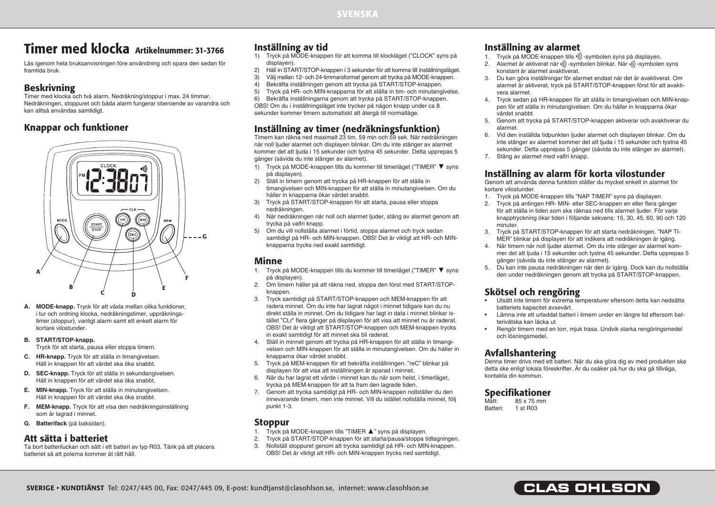# Timer med klocka Artikelnummer: 31-3766

Läs igenom hela bruksanvisningen före användning och spara den sedan för framtida bruk.

## Beskrivning

Timer med klocka och två alarm. Nedräkning/stoppur i max. 24 timmar. Nedräkningen, stoppuret och båda alarm fungerar oberoende av varandra och kan alltså användas samtidigt.

#### Knappar och funktioner



- **A. MODE-knapp.** Tryck för att växla mellan olika funktioner, i tur och ordning klocka, nedräkningstimer, uppräkningstimer (stoppur), vanligt alarm samt ett enkelt alarm för kortare vilostunder.
- **B. START/STOP-knapp.**

Tryck för att starta, pausa eller stoppa timern.

- **C. HR-knapp.** Tryck för att ställa in timangivelsen. Håll in knappen för att värdet ska öka snabbt.
- **D. SEC-knapp.** Tryck för att ställa in sekundangivelsen. Håll in knappen för att värdet ska öka snabbt.
- **E. MIN-knapp.** Tryck för att ställa in minutangivelsen. Håll in knappen för att värdet ska öka snabbt.
- **F. MEM-knapp.** Tryck för att visa den nedräkningsinställning som är lagrad i minnet.
- **G. Batterifack** (på baksidan).

### Att sätta i batteriet

Ta bort batteriluckan och sätt i ett batteri av typ R03. Tänk på att placera batteriet så att polerna kommer åt rätt håll.

# Inställning av tid

- 1) Tryck på MODE-knappen för att komma till klockläget ("CLOCK" syns på displayen).
- 2) Håll in START/STOP-knappen i 3 sekunder för att komma till inställningsläget.
- 3) Välj mellan 12- och 24-timmarsformat genom att trycka på MODE-knappen.
- 4) Bekräfta inställningen genom att trycka på START/STOP-knappen.<br>5) Tryck på HR- och MIN-knapparna för att ställa in tim- och minutang

5) Tryck på HR- och MIN-knapparna för att ställa in tim- och minutangivelse. 6) Bekräfta inställningarna genom att trycka på START/STOP-knappen. OBS! Om du i inställningsläget inte trycker på någon knapp under ca 8 sekunder kommer timern automatiskt att återgå till normalläge.

# Inställning av timer (nedräkningsfunktion)

Timern kan räkna ned maximalt 23 tim, 59 min och 59 sek. När nedräkningen når noll ljuder alarmet och displayen blinkar. Om du inte stänger av alarmet kommer det att ljuda i 15 sekunder och tystna 45 sekunder. Detta upprepas 5 gånger (såvida du inte stänger av alarmet).

- 1) Tryck på MODE-knappen tills du kommer till timerläget ("TIMER" ▼ syns på displayen).
- 2) Ställ in timern genom att trycka på HR-knappen för att ställa in timangivelsen och MIN-knappen för att ställa in minutangivelsen. Om du håller in knapparna ökar värdet snabbt.
- 3) Tryck på START/STOP-knappen för att starta, pausa eller stoppa nedräkningen.
- 4) När nedräkningen når noll och alarmet ljuder, stäng av alarmet genom att trycka på valfri knapp.
- 5) Om du vill nollställa alarmet i förtid, stoppa alarmet och tryck sedan samtidigt på HR- och MIN-knappen. OBS! Det är viktigt att HR- och MINknapparna trycks ned exakt samtidigt.

#### Minne

- 1. Tryck på MODE-knappen tills du kommer till timerläget ("TIMER" ▼ syns på displayen).
- 2. Om timern håller på att räkna ned, stoppa den först med START/STOPknappen.
- 3. Tryck samtidigt på START/STOP-knappen och MEM-knappen för att radera minnet. Om du inte har lagrat något i minnet tidigare kan du nu direkt ställa in minnet. Om du tidigare har lagt in data i minnet blinkar istället "CLr" flera gånger på displayen för att visa att minnet nu är raderat. OBS! Det är viktigt att START/STOP-knappen och MEM-knappen trycks in exakt samtidigt för att minnet ska bli raderat.
- 4. Ställ in minnet genom att trycka på HR-knappen för att ställa in timangivelsen och MIN-knappen för att ställa in minutangivelsen. Om du håller in knapparna ökar värdet snabbt.
- 5. Tryck på MEM-knappen för att bekräfta inställningen. "reC" blinkar på displayen för att visa att inställningen är sparad i minnet.
- 6. När du har lagrat ett värde i minnet kan du när som helst, i timerläget, trycka på MEM-knappen för att ta fram den lagrade tiden.
- 7. Genom att trycka samtidigt på HR- och MIN-knappen nollställer du den innevarande timern, men inte minnet. Vill du istället nollställa minnet, följ punkt 1-3.

#### Stoppur

- 1. Tryck på MODE-knappen tills "TIMER ▲" syns på displayen.
- 2. Tryck på START/STOP-knappen för att starta/pausa/stoppa tidtagningen.
- 3. Nollställ stoppuret genom att trycka samtidigt på HR- och MIN-knappen. OBS! Det är viktigt att HR- och MIN-knappen trycks ned samtidigt.

## Inställning av alarmet

- 1. Tryck på MODE-knappen tills •)) -symbolen syns på displayen.
- 2. Alarmet är aktiverat när •)) -symbolen blinkar. När •)) -symbolen syns konstant är alarmet avaktiverat.
- 3. Du kan göra inställningar för alarmet endast när det är avaktiverat. Om alarmet är aktiverat, tryck på START/STOP-knappen först för att avaktivera alarmet.
- 4. Tryck sedan på HR-knappen för att ställa in timangivelsen och MIN-knappen för att ställa in minutangivelsen. Om du håller in knapparna ökar värdet snabbt.
- 5. Genom att trycka på START/STOP-knappen aktiverar och avaktiverar du alarmet.
- 6. Vid den inställda tidpunkten ljuder alarmet och displayen blinkar. Om du inte stänger av alarmet kommer det att ljuda i 15 sekunder och tystna 45 sekunder. Detta upprepas 5 gånger (såvida du inte stänger av alarmet).
- 7. Stäng av alarmet med valfri knapp.

# Inställning av alarm för korta vilostunder

Genom att använda denna funktion ställer du mycket enkelt in alarmet för kortare vilostunder.

- 1. Tryck på MODE-knappen tills "NAP TIMER" syns på displayen.
- 2. Tryck på antingen HR- MIN- eller SEC-knappen en eller flera gånger för att ställa in tiden som ska räknas ned tills alarmet ljuder. För varje knapptryckning ökar tiden i följande sekvens: 15, 30, 45, 60, 90 och 120 minuter
- 3. Tryck på START/STOP-knappen för att starta nedräkningen. "NAP TI-MER" blinkar på displayen för att indikera att nedräkningen är igång.
- 4. När timern når noll ljuder alarmet. Om du inte stänger av alarmet kommer det att ljuda i 15 sekunder och tystna 45 sekunder. Detta upprepas 5 gånger (såvida du inte stänger av alarmet).
- 5. Du kan inte pausa nedräkningen när den är igång. Dock kan du nollställa den under nedräkningen genom att trycka på START/STOP-knappen.

# Skötsel och rengöring

- Utsätt inte timern för extrema temperaturer eftersom detta kan nedsätta batteriets kapacitet avsevärt.
- Lämna inte ett urladdat batteri i timern under en längre tid eftersom batterivätska kan läcka ut.
- Rengör timern med en torr, mjuk trasa. Undvik starka rengöringsmedel och lösningsmedel.

# Avfallshantering

Denna timer drivs med ett batteri. När du ska göra dig av med produkten ska detta ske enligt lokala föreskrifter. Är du osäker på hur du ska gå tillväga, kontakta din kommun.

# **Specifikationer**

Mått: 85 x 75 mm<br>Batteri: 1 st B03  $1$  st R03

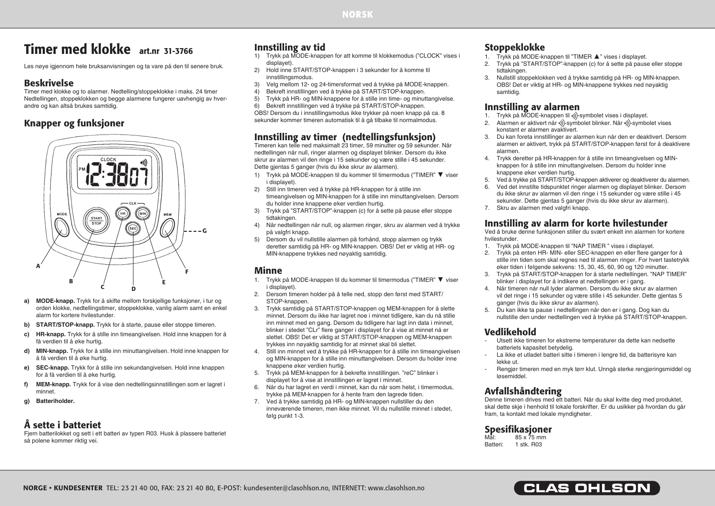# Timer med klokke art.nr 31-3766

Les nøye igjennom hele bruksanvisningen og ta vare på den til senere bruk.

#### Beskrivelse

Timer med klokke og to alarmer. Nedtelling/stoppeklokke i maks. 24 timer Nedtellingen, stoppeklokken og begge alarmene fungerer uavhengig av hverandre og kan altså brukes samtidig.

# Knapper og funksjoner



- **a) MODE-knapp.** Trykk for å skifte mellom forskjellige funksjoner, i tur og orden klokke, nedtellingstimer, stoppeklokke, vanlig alarm samt en enkel alarm for kortere hvilestunder.
- **b)** START/STOP-knapp. Trykk for å starte, pause eller stoppe timeren.
- **c) HR-knapp.** Trykk for å stille inn timeangivelsen. Hold inne knappen for å få verdien til å øke hurtig.
- **d)** MIN-knapp. Trykk for å stille inn minuttangivelsen. Hold inne knappen for å få verdien til å øke hurtig.
- **e) SEC-knapp.** Trykk for å stille inn sekundangivelsen. Hold inne knappen for å få verdien til å øke hurtig.
- **f)** MEM-knapp. Trykk for å vise den nedtellingsinnstillingen som er lagret i minnet.
- **g) Batteriholder.**

### Å sette i batteriet

Fjern batterilokket og sett i ett batteri av typen R03. Husk å plassere batteriet så polene kommer riktig vei.

# Innstilling av tid

- 1) Trykk på MODE-knappen for att komme til klokkemodus ("CLOCK" vises i displayet).
- 2) Hold inne START/STOP-knappen i 3 sekunder for å komme til innstillingsmodus.
- 3) Velg mellom 12- og 24-timersformat ved å trykke på MODE-knappen.<br>4) Bekreft innstillingen ved å trykke på START/STOP-knappen.
- 4) Bekreft innstillingen ved å trykke på START/STOP-knappen.<br>5) Trykk på HR- og MIN-knappene for å stille inn time- og minut
- 5) Trykk på HR- og MIN-knappene for å stille inn time- og minuttangivelse. 6) Bekreft innstillingen ved å trykke på START/STOP-knappen.

OBS! Dersom du i innstillingsmodus ikke trykker på noen knapp på ca. 8 sekunder kommer timeren automatisk til å gå tilbake til normalmodus.

## Innstilling av timer (nedtellingsfunksjon)

Timeren kan telle ned maksimalt 23 timer, 59 minutter og 59 sekunder. Når nedtellingen når null, ringer alarmen og displayet blinker. Dersom du ikke skrur av alarmen vil den ringe i 15 sekunder og være stille i 45 sekunder. Dette gjentas 5 ganger (hvis du ikke skrur av alarmen).

- 1) Trykk på MODE-knappen til du kommer til timermodus ("TIMER" ▼ viser i displayet).
- 2) Still inn timeren ved å trykke på HR-knappen for å stille inn timeangivelsen og MIN-knappen for å stille inn minuttangivelsen. Dersom du holder inne knappene øker verdien hurtig.
- 3) Trykk på "START/STOP"-knappen (c) for å sette på pause eller stoppe tidtakingen.
- 4) Når nedtellingen når null, og alarmen ringer, skru av alarmen ved å trykke på valgfri knapp.
- 5) Dersom du vil nullstille alarmen på forhånd, stopp alarmen og trykk deretter samtidig på HR- og MIN-knappen. OBS! Det er viktig at HR- og MIN-knappene trykkes ned nøyaktig samtidig.

#### Minne

- 1. Trykk på MODE-knappen til du kommer til timermodus ("TIMER" ▼ viser i displayet).
- 2. Dersom timeren holder på å telle ned, stopp den først med START/ STOP-knappen.
- 3. Trykk samtidig på START/STOP-knappen og MEM-knappen for å slette minnet. Dersom du ikke har lagret noe i minnet tidligere, kan du nå stille inn minnet med en gang. Dersom du tidligere har lagt inn data i minnet, blinker i stedet "CLr" flere ganger i displayet for å vise at minnet nå er slettet. OBS! Det er viktig at START/STOP-knappen og MEM-knappen trykkes inn nøyaktig samtidig for at minnet skal bli slettet.
- 4. Still inn minnet ved å trykke på HR-knappen for å stille inn timeangivelsen og MIN-knappen for å stille inn minuttangivelsen. Dersom du holder inne knappene øker verdien hurtig.
- 5. Trykk på MEM-knappen for å bekrefte innstillingen. "reC" blinker i displayet for å vise at innstillingen er lagret i minnet.
- 6. Når du har lagret en verdi i minnet, kan du når som helst, i timermodus, trykke på MEM-knappen for å hente fram den lagrede tiden.
- 7. Ved å trykke samtidig på HR- og MIN-knappen nullstiller du den inneværende timeren, men ikke minnet. Vil du nullstille minnet i stedet, følg punkt 1-3.

## Stoppeklokke

- 1. Trykk på MODE-knappen til "TIMER ▲" vises i displayet.
- 2. Trykk på "START/STOP"-knappen (c) for å sette på pause eller stoppe tidtakingen.
- 3. Nullstill stoppeklokken ved å trykke samtidig på HR- og MIN-knappen. OBS! Det er viktig at HR- og MIN-knappene trykkes ned nøyaktig samtidig.

#### Innstilling av alarmen

- 1. Trykk på MODE-knappen til .) symbolet vises i displayet.
- 2. Alarmen er aktivert når •))-symbolet blinker. Når •))-symbolet vises konstant er alarmen avaktivert.
- 3. Du kan foreta innstillinger av alarmen kun når den er deaktivert. Dersom alarmen er aktivert, trykk på START/STOP-knappen først for å deaktivere alarmen.
- 4. Trykk deretter på HR-knappen for å stille inn timeangivelsen og MINknappen for å stille inn minuttangivelsen. Dersom du holder inne knappene øker verdien hurtig.
- 5. Ved å trykke på START/STOP-knappen aktiverer og deaktiverer du alarmen.
- 6. Ved det innstilte tidspunktet ringer alarmen og displayet blinker. Dersom du ikke skrur av alarmen vil den ringe i 15 sekunder og være stille i 45 sekunder. Dette gjentas 5 ganger (hvis du ikke skrur av alarmen).
- 7. Skru av alarmen med valgfri knapp.

# Innstilling av alarm for korte hvilestunder

Ved å bruke denne funksjonen stiller du svært enkelt inn alarmen for kortere hvilestunder.

- 1. Trykk på MODE-knappen til "NAP TIMER " vises i displayet.
- 2. Trykk på enten HR- MIN- eller SEC-knappen en eller flere ganger for å stille inn tiden som skal regnes ned til alarmen ringer. For hvert tastetrykk øker tiden i følgende sekvens: 15, 30, 45, 60, 90 og 120 minutter.
- 3. Trykk på START/STOP-knappen for å starte nedtellingen. "NAP TIMER" blinker i displayet for å indikere at nedtellingen er i gang.
- 4. Når timeren når null lyder alarmen. Dersom du ikke skrur av alarmen vil det ringe i 15 sekunder og være stille i 45 sekunder. Dette gjentas 5 ganger (hvis du ikke skrur av alarmen).
- 5. Du kan ikke ta pause i nedtellingen når den er i gang. Dog kan du nullstille den under nedtellingen ved å trykke på START/STOP-knappen.

# Vedlikehold

- Utsett ikke timeren for ekstreme temperaturer da dette kan nedsette batteriets kapasitet betydelig.
- La ikke et utladet batteri sitte i timeren i lengre tid, da batterisyre kan lekke ut.
- Rengjør timeren med en myk tørr klut. Unngå sterke rengjøringsmiddel og løsemiddel.

# Avfallshåndtering

Denne timeren drives med ett batteri. Når du skal kvitte deg med produktet, skal dette skje i henhold til lokale forskrifter. Er du usikker på hvordan du går fram, ta kontakt med lokale myndigheter.

# **Spesifikasioner**

Mål: 85 x 75 mm<br>Ratteri: 1 stk R03 Batteri: 1 stk. R03